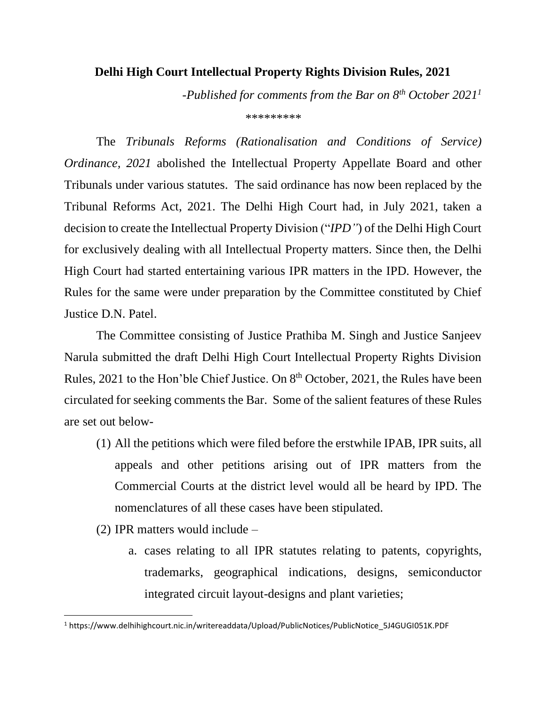## **Delhi High Court Intellectual Property Rights Division Rules, 2021**

*-Published for comments from the Bar on 8th October 2021<sup>1</sup> \*\*\*\*\*\*\*\*\**

The *Tribunals Reforms (Rationalisation and Conditions of Service) Ordinance, 2021* abolished the Intellectual Property Appellate Board and other Tribunals under various statutes. The said ordinance has now been replaced by the Tribunal Reforms Act, 2021. The Delhi High Court had, in July 2021, taken a decision to create the Intellectual Property Division ("*IPD"*) of the Delhi High Court for exclusively dealing with all Intellectual Property matters. Since then, the Delhi High Court had started entertaining various IPR matters in the IPD. However, the Rules for the same were under preparation by the Committee constituted by Chief Justice D.N. Patel.

The Committee consisting of Justice Prathiba M. Singh and Justice Sanjeev Narula submitted the draft Delhi High Court Intellectual Property Rights Division Rules, 2021 to the Hon'ble Chief Justice. On 8th October, 2021, the Rules have been circulated for seeking comments the Bar. Some of the salient features of these Rules are set out below-

- (1) All the petitions which were filed before the erstwhile IPAB, IPR suits, all appeals and other petitions arising out of IPR matters from the Commercial Courts at the district level would all be heard by IPD. The nomenclatures of all these cases have been stipulated.
- (2) IPR matters would include
	- a. cases relating to all IPR statutes relating to patents, copyrights, trademarks, geographical indications, designs, semiconductor integrated circuit layout-designs and plant varieties;

<sup>1</sup> https://www.delhihighcourt.nic.in/writereaddata/Upload/PublicNotices/PublicNotice\_5J4GUGI051K.PDF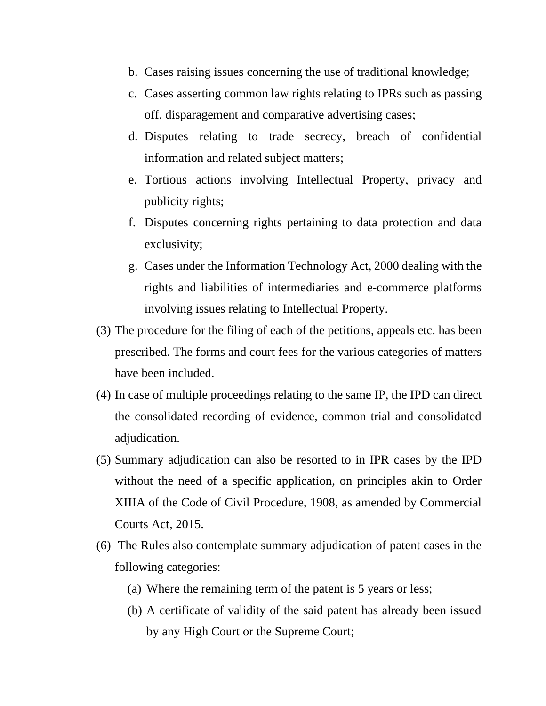- b. Cases raising issues concerning the use of traditional knowledge;
- c. Cases asserting common law rights relating to IPRs such as passing off, disparagement and comparative advertising cases;
- d. Disputes relating to trade secrecy, breach of confidential information and related subject matters;
- e. Tortious actions involving Intellectual Property, privacy and publicity rights;
- f. Disputes concerning rights pertaining to data protection and data exclusivity;
- g. Cases under the Information Technology Act, 2000 dealing with the rights and liabilities of intermediaries and e-commerce platforms involving issues relating to Intellectual Property.
- (3) The procedure for the filing of each of the petitions, appeals etc. has been prescribed. The forms and court fees for the various categories of matters have been included.
- (4) In case of multiple proceedings relating to the same IP, the IPD can direct the consolidated recording of evidence, common trial and consolidated adjudication.
- (5) Summary adjudication can also be resorted to in IPR cases by the IPD without the need of a specific application, on principles akin to Order XIIIA of the Code of Civil Procedure, 1908, as amended by Commercial Courts Act, 2015.
- (6) The Rules also contemplate summary adjudication of patent cases in the following categories:
	- (a) Where the remaining term of the patent is 5 years or less;
	- (b) A certificate of validity of the said patent has already been issued by any High Court or the Supreme Court;